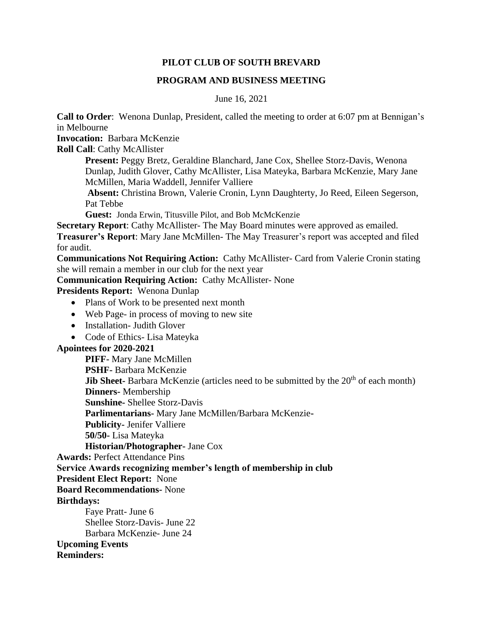## **PILOT CLUB OF SOUTH BREVARD**

## **PROGRAM AND BUSINESS MEETING**

June 16, 2021

**Call to Order**: Wenona Dunlap, President, called the meeting to order at 6:07 pm at Bennigan's in Melbourne

**Invocation:** Barbara McKenzie

**Roll Call**: Cathy McAllister

**Present:** Peggy Bretz, Geraldine Blanchard, Jane Cox, Shellee Storz-Davis, Wenona Dunlap, Judith Glover, Cathy McAllister, Lisa Mateyka, Barbara McKenzie, Mary Jane McMillen, Maria Waddell, Jennifer Valliere

**Absent:** Christina Brown, Valerie Cronin, Lynn Daughterty, Jo Reed, Eileen Segerson, Pat Tebbe

**Guest:** Jonda Erwin, Titusville Pilot, and Bob McMcKenzie

**Secretary Report**: Cathy McAllister- The May Board minutes were approved as emailed. **Treasurer's Report**: Mary Jane McMillen- The May Treasurer's report was accepted and filed for audit.

**Communications Not Requiring Action:** Cathy McAllister- Card from Valerie Cronin stating she will remain a member in our club for the next year

**Communication Requiring Action:** Cathy McAllister- None

**Presidents Report:** Wenona Dunlap

- Plans of Work to be presented next month
- Web Page- in process of moving to new site
- Installation- Judith Glover
- Code of Ethics Lisa Mateyka

## **Apointees for 2020-2021**

**PIFF-** Mary Jane McMillen **PSHF-** Barbara McKenzie **Jib Sheet-** Barbara McKenzie (articles need to be submitted by the 20<sup>th</sup> of each month) **Dinners-** Membership **Sunshine-** Shellee Storz-Davis **Parlimentarians-** Mary Jane McMillen/Barbara McKenzie**-Publicity-** Jenifer Valliere **50/50-** Lisa Mateyka **Historian/Photographer-** Jane Cox

**Awards:** Perfect Attendance Pins

**Service Awards recognizing member's length of membership in club**

**President Elect Report:** None

**Board Recommendations-** None

## **Birthdays:**

Faye Pratt- June 6 Shellee Storz-Davis- June 22 Barbara McKenzie- June 24 **Upcoming Events Reminders:**